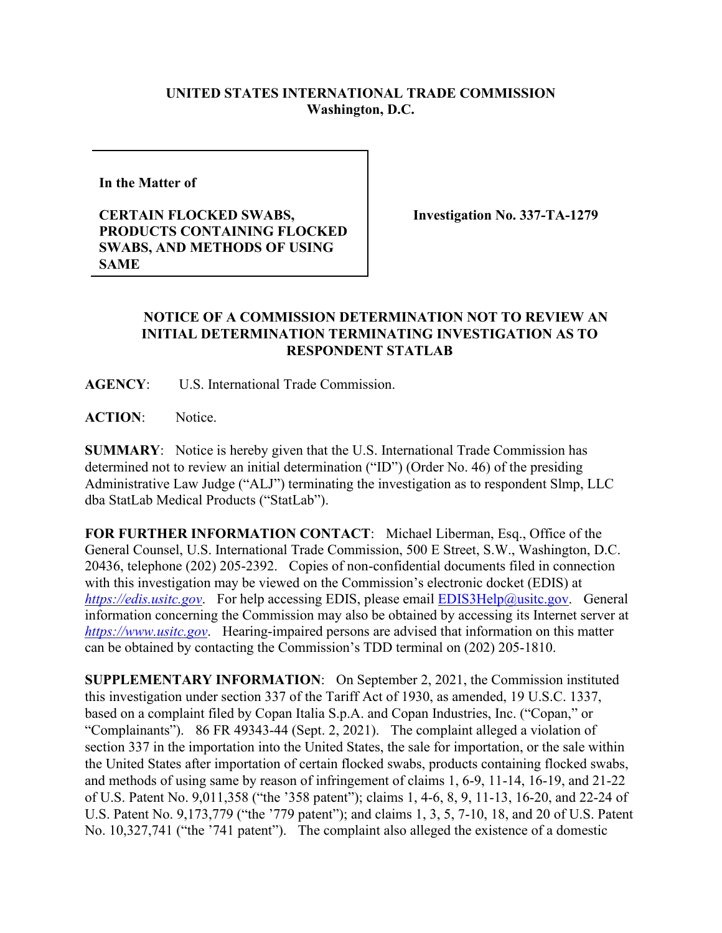## **UNITED STATES INTERNATIONAL TRADE COMMISSION Washington, D.C.**

**In the Matter of** 

**CERTAIN FLOCKED SWABS, PRODUCTS CONTAINING FLOCKED SWABS, AND METHODS OF USING SAME**

**Investigation No. 337-TA-1279** 

## **NOTICE OF A COMMISSION DETERMINATION NOT TO REVIEW AN INITIAL DETERMINATION TERMINATING INVESTIGATION AS TO RESPONDENT STATLAB**

**AGENCY**: U.S. International Trade Commission.

**ACTION**: Notice.

**SUMMARY**: Notice is hereby given that the U.S. International Trade Commission has determined not to review an initial determination ("ID") (Order No. 46) of the presiding Administrative Law Judge ("ALJ") terminating the investigation as to respondent Slmp, LLC dba StatLab Medical Products ("StatLab").

**FOR FURTHER INFORMATION CONTACT**: Michael Liberman, Esq., Office of the General Counsel, U.S. International Trade Commission, 500 E Street, S.W., Washington, D.C. 20436, telephone (202) 205-2392. Copies of non-confidential documents filed in connection with this investigation may be viewed on the Commission's electronic docket (EDIS) at *[https://edis.usitc.gov](https://edis.usitc.gov/).* For help accessing EDIS, please email **EDIS3Help@usitc.gov**. General information concerning the Commission may also be obtained by accessing its Internet server at *[https://www.usitc.gov](https://www.usitc.gov/)*. Hearing-impaired persons are advised that information on this matter can be obtained by contacting the Commission's TDD terminal on (202) 205-1810.

**SUPPLEMENTARY INFORMATION**: On September 2, 2021, the Commission instituted this investigation under section 337 of the Tariff Act of 1930, as amended, 19 U.S.C. 1337, based on a complaint filed by Copan Italia S.p.A. and Copan Industries, Inc. ("Copan," or "Complainants"). 86 FR 49343-44 (Sept. 2, 2021). The complaint alleged a violation of section 337 in the importation into the United States, the sale for importation, or the sale within the United States after importation of certain flocked swabs, products containing flocked swabs, and methods of using same by reason of infringement of claims 1, 6-9, 11-14, 16-19, and 21-22 of U.S. Patent No. 9,011,358 ("the '358 patent"); claims 1, 4-6, 8, 9, 11-13, 16-20, and 22-24 of U.S. Patent No. 9,173,779 ("the '779 patent"); and claims 1, 3, 5, 7-10, 18, and 20 of U.S. Patent No. 10,327,741 ("the '741 patent"). The complaint also alleged the existence of a domestic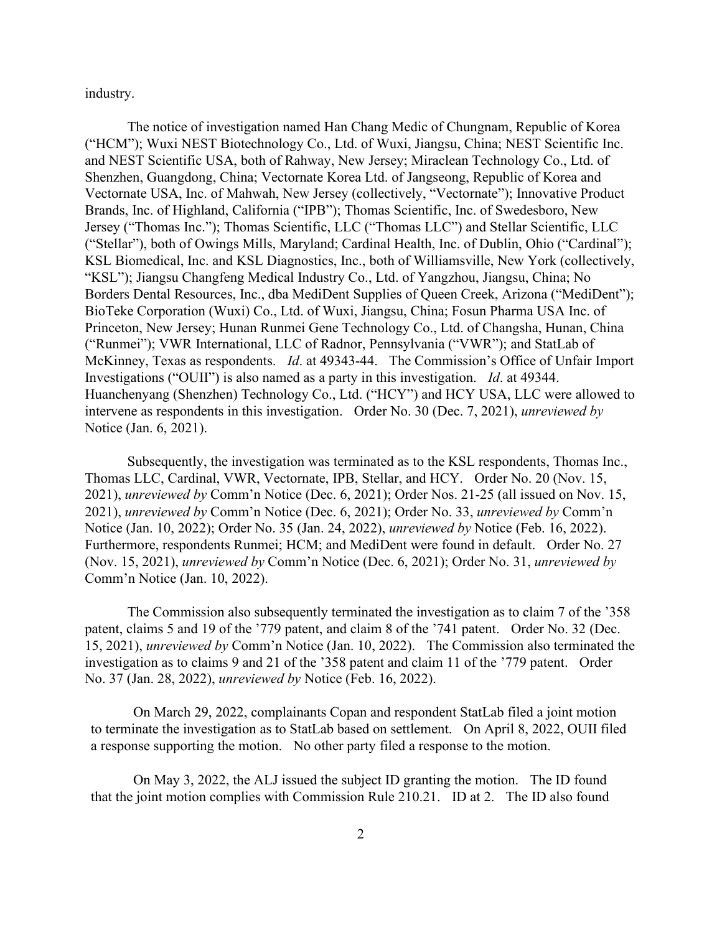industry.

The notice of investigation named Han Chang Medic of Chungnam, Republic of Korea ("HCM"); Wuxi NEST Biotechnology Co., Ltd. of Wuxi, Jiangsu, China; NEST Scientific Inc. and NEST Scientific USA, both of Rahway, New Jersey; Miraclean Technology Co., Ltd. of Shenzhen, Guangdong, China; Vectornate Korea Ltd. of Jangseong, Republic of Korea and Vectornate USA, Inc. of Mahwah, New Jersey (collectively, "Vectornate"); Innovative Product Brands, Inc. of Highland, California ("IPB"); Thomas Scientific, Inc. of Swedesboro, New Jersey ("Thomas Inc."); Thomas Scientific, LLC ("Thomas LLC") and Stellar Scientific, LLC ("Stellar"), both of Owings Mills, Maryland; Cardinal Health, Inc. of Dublin, Ohio ("Cardinal"); KSL Biomedical, Inc. and KSL Diagnostics, Inc., both of Williamsville, New York (collectively, "KSL"); Jiangsu Changfeng Medical Industry Co., Ltd. of Yangzhou, Jiangsu, China; No Borders Dental Resources, Inc., dba MediDent Supplies of Queen Creek, Arizona ("MediDent"); BioTeke Corporation (Wuxi) Co., Ltd. of Wuxi, Jiangsu, China; Fosun Pharma USA Inc. of Princeton, New Jersey; Hunan Runmei Gene Technology Co., Ltd. of Changsha, Hunan, China ("Runmei"); VWR International, LLC of Radnor, Pennsylvania ("VWR"); and StatLab of McKinney, Texas as respondents. *Id*. at 49343-44. The Commission's Office of Unfair Import Investigations ("OUII") is also named as a party in this investigation. *Id*. at 49344. Huanchenyang (Shenzhen) Technology Co., Ltd. ("HCY") and HCY USA, LLC were allowed to intervene as respondents in this investigation. Order No. 30 (Dec. 7, 2021), *unreviewed by* Notice (Jan. 6, 2021).

Subsequently, the investigation was terminated as to the KSL respondents, Thomas Inc., Thomas LLC, Cardinal, VWR, Vectornate, IPB, Stellar, and HCY. Order No. 20 (Nov. 15, 2021), *unreviewed by* Comm'n Notice (Dec. 6, 2021); Order Nos. 21-25 (all issued on Nov. 15, 2021), *unreviewed by* Comm'n Notice (Dec. 6, 2021); Order No. 33, *unreviewed by* Comm'n Notice (Jan. 10, 2022); Order No. 35 (Jan. 24, 2022), *unreviewed by* Notice (Feb. 16, 2022). Furthermore, respondents Runmei; HCM; and MediDent were found in default. Order No. 27 (Nov. 15, 2021), *unreviewed by* Comm'n Notice (Dec. 6, 2021); Order No. 31, *unreviewed by* Comm'n Notice (Jan. 10, 2022).

The Commission also subsequently terminated the investigation as to claim 7 of the '358 patent, claims 5 and 19 of the '779 patent, and claim 8 of the '741 patent. Order No. 32 (Dec. 15, 2021), *unreviewed by* Comm'n Notice (Jan. 10, 2022). The Commission also terminated the investigation as to claims 9 and 21 of the '358 patent and claim 11 of the '779 patent. Order No. 37 (Jan. 28, 2022), *unreviewed by* Notice (Feb. 16, 2022).

On March 29, 2022, complainants Copan and respondent StatLab filed a joint motion to terminate the investigation as to StatLab based on settlement. On April 8, 2022, OUII filed a response supporting the motion. No other party filed a response to the motion.

On May 3, 2022, the ALJ issued the subject ID granting the motion. The ID found that the joint motion complies with Commission Rule 210.21. ID at 2. The ID also found